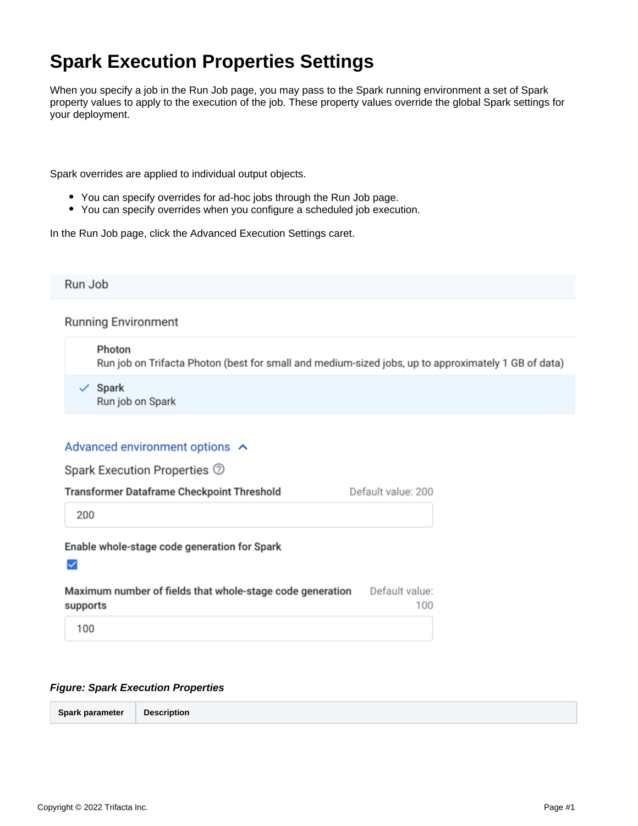## **Spark Execution Properties Settings**

When you specify a job in the Run Job page, you may pass to the Spark running environment a set of Spark property values to apply to the execution of the job. These property values override the global Spark settings for your deployment.

Spark overrides are applied to individual output objects.

- You can specify overrides for ad-hoc jobs through the Run Job page.
- You can specify overrides when you configure a scheduled job execution.

In the Run Job page, click the Advanced Execution Settings caret.

Run Job

**Running Environment** 

Photon Run job on Trifacta Photon (best for small and medium-sized jobs, up to approximately 1 GB of data)

 $\checkmark$  Spark Run job on Spark

## Advanced environment options ^

| Spark Execution Properties ②                                               |                    |
|----------------------------------------------------------------------------|--------------------|
| <b>Transformer Dataframe Checkpoint Threshold</b>                          | Default value: 200 |
| 200                                                                        |                    |
| Enable whole-stage code generation for Spark                               |                    |
| Marchaeolas proportionale Calde Alexandrale este no condicionale posterior |                    |

| Maximum number of fields that whole-stage code generation | Default value: |
|-----------------------------------------------------------|----------------|
| supports                                                  | 100            |
| 100                                                       |                |

## **Figure: Spark Execution Properties**

| Spark parameter<br><b>Description</b> |
|---------------------------------------|
|---------------------------------------|